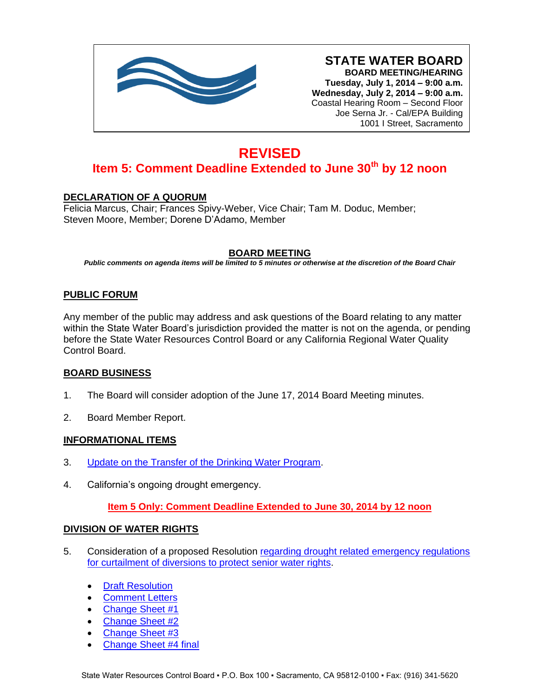

**STATE WATER BOARD BOARD MEETING/HEARING Tuesday, July 1, 2014 – 9:00 a.m. Wednesday, July 2, 2014 – 9:00 a.m.** Coastal Hearing Room – Second Floor Joe Serna Jr. - Cal/EPA Building 1001 I Street, Sacramento

# **REVISED Item 5: Comment Deadline Extended to June 30th by 12 noon**

## **DECLARATION OF A QUORUM**

Felicia Marcus, Chair; Frances Spivy-Weber, Vice Chair; Tam M. Doduc, Member; Steven Moore, Member; Dorene D'Adamo, Member

### **BOARD MEETING**

*Public comments on agenda items will be limited to 5 minutes or otherwise at the discretion of the Board Chair*

## **PUBLIC FORUM**

Any member of the public may address and ask questions of the Board relating to any matter within the State Water Board's jurisdiction provided the matter is not on the agenda, or pending before the State Water Resources Control Board or any California Regional Water Quality Control Board.

### **BOARD BUSINESS**

- 1. The Board will consider adoption of the June 17, 2014 Board Meeting minutes.
- 2. Board Member Report.

### **INFORMATIONAL ITEMS**

- 3. [Update on the Transfer of the Drinking Water Program.](http://www.waterboards.ca.gov/board_info/agendas/2014/jul/070114_3.pdf)
- 4. California's ongoing drought emergency.

**Item 5 Only: Comment Deadline Extended to June 30, 2014 by 12 noon**

### **DIVISION OF WATER RIGHTS**

- 5. Consideration of a proposed Resolution [regarding drought related emergency regulations](http://www.waterboards.ca.gov/board_info/agendas/2014/jul/070114_5.pdf)  [for curtailment of diversions to protect senior water rights.](http://www.waterboards.ca.gov/board_info/agendas/2014/jul/070114_5.pdf)
	- [Draft Resolution](http://www.waterboards.ca.gov/board_info/agendas/2014/jul/070114_5_draftresolution.pdf)
	- [Comment Letters](http://www.waterboards.ca.gov/waterrights/water_issues/programs/drought/comments063014/index.shtml)
	- [Change Sheet #1](http://www.waterboards.ca.gov/board_info/agendas/2014/jul/070114_5_changesheet_1.pdf)
	- [Change Sheet #2](http://www.waterboards.ca.gov/board_info/agendas/2014/jul/070214_5_changesheet_2.pdf)
	- [Change Sheet #3](http://www.waterboards.ca.gov/board_info/agendas/2014/jul/070214_5_changesheet_3.pdf)
	- [Change Sheet #4 final](http://www.waterboards.ca.gov/board_info/agendas/2014/jul/070214_5_changesheet_4.pdf)